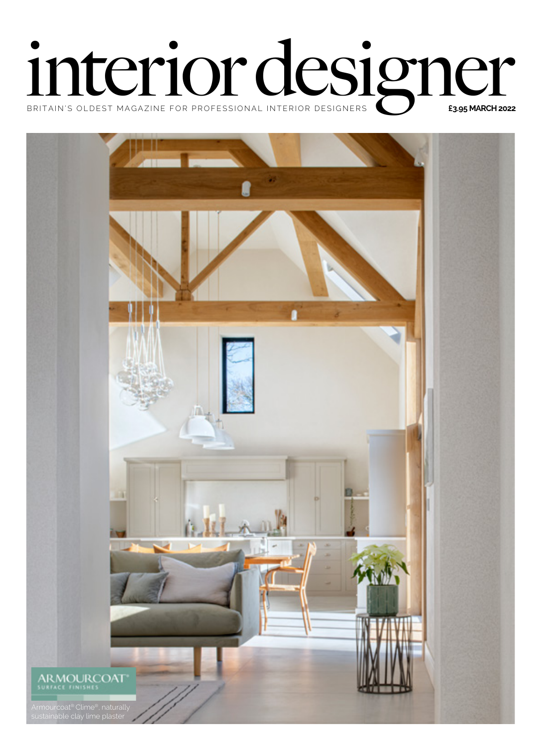## **interior of the Condest MAGAZINE FOR PROFESSIONAL INTERIOR DESIGNERS DESIGNERS**

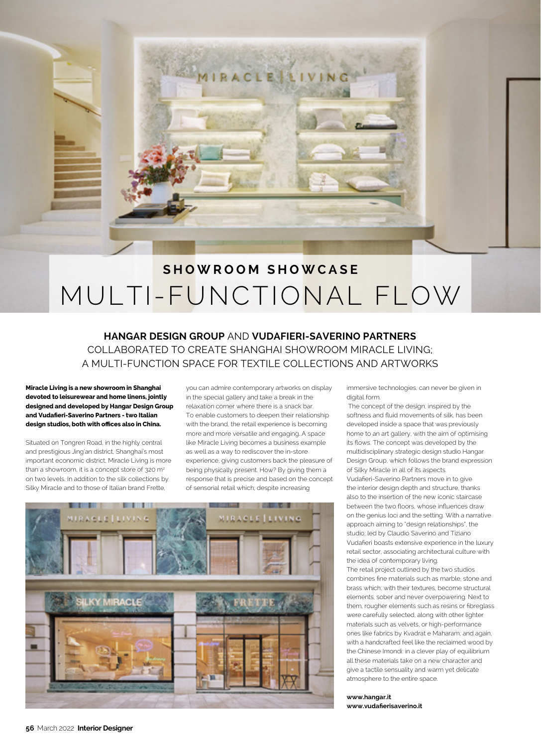

## MULTI-FUNCTIONAL FLOW **SHOWROOM SHOWCASE**

## **HANGAR DESIGN GROUP** AND **VUDAFIERI-SAVERINO PARTNERS** COLLABORATED TO CREATE SHANGHAI SHOWROOM MIRACLE LIVING; A MULTI-FUNCTION SPACE FOR TEXTILE COLLECTIONS AND ARTWORKS

**Miracle Living is a new showroom in Shanghai devoted to leisurewear and home linens, jointly designed and developed by Hangar Design Group and Vudafieri-Saverino Partners - two Italian design studios, both with offices also in China.** 

Situated on Tongren Road, in the highly central and prestigious Jing'an district, Shanghai's most important economic district, Miracle Living is more than a showroom, it is a concept store of 320 m<sup>2</sup> on two levels. In addition to the silk collections by Silky Miracle and to those of Italian brand Frette,

you can admire contemporary artworks on display in the special gallery and take a break in the relaxation corner where there is a snack bar. To enable customers to deepen their relationship with the brand, the retail experience is becoming more and more versatile and engaging. A space like Miracle Living becomes a business example as well as a way to rediscover the in-store experience, giving customers back the pleasure of being physically present. How? By giving them a response that is precise and based on the concept of sensorial retail which, despite increasing



immersive technologies, can never be given in digital form.

 The concept of the design, inspired by the softness and fluid movements of silk, has been developed inside a space that was previously home to an art gallery, with the aim of optimising its flows. The concept was developed by the multidisciplinary strategic design studio Hangar Design Group, which follows the brand expression of Silky Miracle in all of its aspects. Vudafieri-Saverino Partners move in to give the interior design depth and structure, thanks also to the insertion of the new iconic staircase between the two floors, whose influences draw on the genius loci and the setting. With a narrative approach aiming to "design relationships", the studio, led by Claudio Saverino and Tiziano Vudafieri boasts extensive experience in the luxury retail sector, associating architectural culture with the idea of contemporary living.

The retail project outlined by the two studios combines fine materials such as marble, stone and brass which, with their textures, become structural elements, sober and never overpowering. Next to them, rougher elements such as resins or fibreglass were carefully selected, along with other lighter materials such as velvets, or high-performance ones like fabrics by Kvadrat e Maharam; and again, with a handcrafted feel like the reclaimed wood by the Chinese Imondi: in a clever play of equilibrium all these materials take on a new character and give a tactile sensuality and warm yet delicate atmosphere to the entire space.

**[www.hangar.it](http://www.hangar.it)  [www.vudafierisaverino.it](http://www.vudafierisaverino.it)**